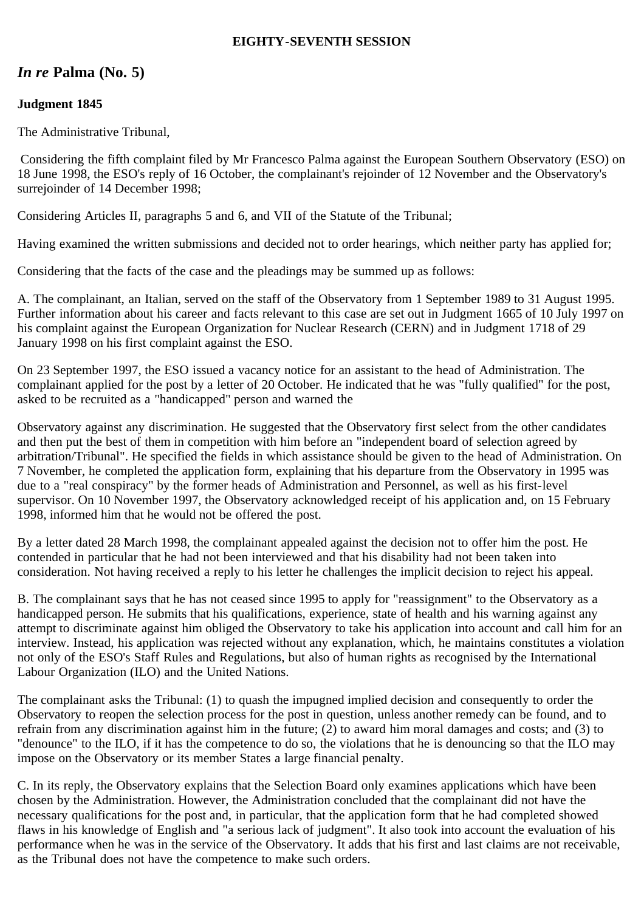## **EIGHTY-SEVENTH SESSION**

# *In re* **Palma (No. 5)**

## **Judgment 1845**

The Administrative Tribunal,

 Considering the fifth complaint filed by Mr Francesco Palma against the European Southern Observatory (ESO) on 18 June 1998, the ESO's reply of 16 October, the complainant's rejoinder of 12 November and the Observatory's surrejoinder of 14 December 1998;

Considering Articles II, paragraphs 5 and 6, and VII of the Statute of the Tribunal;

Having examined the written submissions and decided not to order hearings, which neither party has applied for;

Considering that the facts of the case and the pleadings may be summed up as follows:

A. The complainant, an Italian, served on the staff of the Observatory from 1 September 1989 to 31 August 1995. Further information about his career and facts relevant to this case are set out in Judgment 1665 of 10 July 1997 on his complaint against the European Organization for Nuclear Research (CERN) and in Judgment 1718 of 29 January 1998 on his first complaint against the ESO.

On 23 September 1997, the ESO issued a vacancy notice for an assistant to the head of Administration. The complainant applied for the post by a letter of 20 October. He indicated that he was "fully qualified" for the post, asked to be recruited as a "handicapped" person and warned the

Observatory against any discrimination. He suggested that the Observatory first select from the other candidates and then put the best of them in competition with him before an "independent board of selection agreed by arbitration/Tribunal". He specified the fields in which assistance should be given to the head of Administration. On 7 November, he completed the application form, explaining that his departure from the Observatory in 1995 was due to a "real conspiracy" by the former heads of Administration and Personnel, as well as his first-level supervisor. On 10 November 1997, the Observatory acknowledged receipt of his application and, on 15 February 1998, informed him that he would not be offered the post.

By a letter dated 28 March 1998, the complainant appealed against the decision not to offer him the post. He contended in particular that he had not been interviewed and that his disability had not been taken into consideration. Not having received a reply to his letter he challenges the implicit decision to reject his appeal.

B. The complainant says that he has not ceased since 1995 to apply for "reassignment" to the Observatory as a handicapped person. He submits that his qualifications, experience, state of health and his warning against any attempt to discriminate against him obliged the Observatory to take his application into account and call him for an interview. Instead, his application was rejected without any explanation, which, he maintains constitutes a violation not only of the ESO's Staff Rules and Regulations, but also of human rights as recognised by the International Labour Organization (ILO) and the United Nations.

The complainant asks the Tribunal: (1) to quash the impugned implied decision and consequently to order the Observatory to reopen the selection process for the post in question, unless another remedy can be found, and to refrain from any discrimination against him in the future; (2) to award him moral damages and costs; and (3) to "denounce" to the ILO, if it has the competence to do so, the violations that he is denouncing so that the ILO may impose on the Observatory or its member States a large financial penalty.

C. In its reply, the Observatory explains that the Selection Board only examines applications which have been chosen by the Administration. However, the Administration concluded that the complainant did not have the necessary qualifications for the post and, in particular, that the application form that he had completed showed flaws in his knowledge of English and "a serious lack of judgment". It also took into account the evaluation of his performance when he was in the service of the Observatory. It adds that his first and last claims are not receivable, as the Tribunal does not have the competence to make such orders.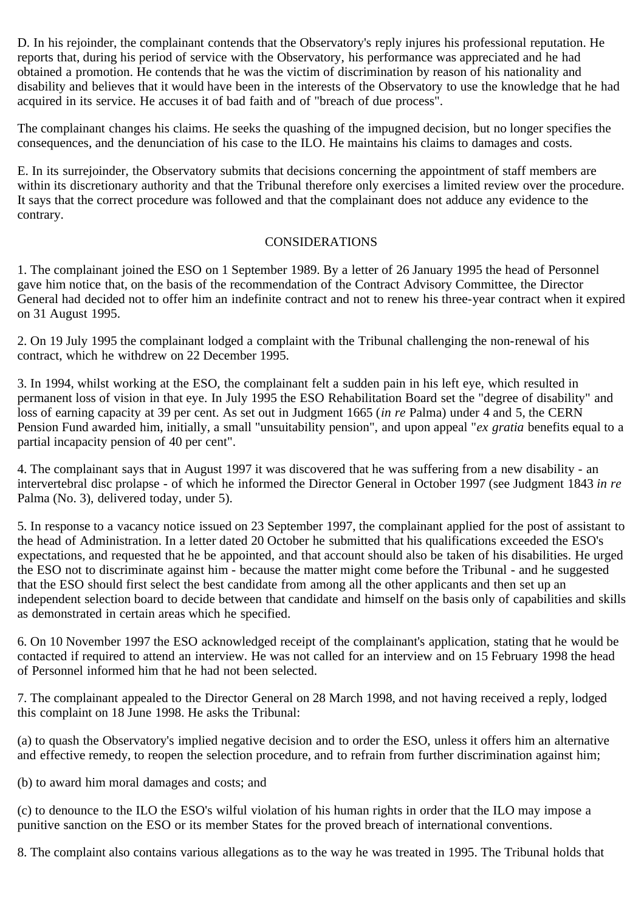D. In his rejoinder, the complainant contends that the Observatory's reply injures his professional reputation. He reports that, during his period of service with the Observatory, his performance was appreciated and he had obtained a promotion. He contends that he was the victim of discrimination by reason of his nationality and disability and believes that it would have been in the interests of the Observatory to use the knowledge that he had acquired in its service. He accuses it of bad faith and of "breach of due process".

The complainant changes his claims. He seeks the quashing of the impugned decision, but no longer specifies the consequences, and the denunciation of his case to the ILO. He maintains his claims to damages and costs.

E. In its surrejoinder, the Observatory submits that decisions concerning the appointment of staff members are within its discretionary authority and that the Tribunal therefore only exercises a limited review over the procedure. It says that the correct procedure was followed and that the complainant does not adduce any evidence to the contrary.

### CONSIDERATIONS

1. The complainant joined the ESO on 1 September 1989. By a letter of 26 January 1995 the head of Personnel gave him notice that, on the basis of the recommendation of the Contract Advisory Committee, the Director General had decided not to offer him an indefinite contract and not to renew his three-year contract when it expired on 31 August 1995.

2. On 19 July 1995 the complainant lodged a complaint with the Tribunal challenging the non-renewal of his contract, which he withdrew on 22 December 1995.

3. In 1994, whilst working at the ESO, the complainant felt a sudden pain in his left eye, which resulted in permanent loss of vision in that eye. In July 1995 the ESO Rehabilitation Board set the "degree of disability" and loss of earning capacity at 39 per cent. As set out in Judgment 1665 (*in re* Palma) under 4 and 5, the CERN Pension Fund awarded him, initially, a small "unsuitability pension", and upon appeal "*ex gratia* benefits equal to a partial incapacity pension of 40 per cent".

4. The complainant says that in August 1997 it was discovered that he was suffering from a new disability - an intervertebral disc prolapse - of which he informed the Director General in October 1997 (see Judgment 1843 *in re* Palma (No. 3), delivered today, under 5).

5. In response to a vacancy notice issued on 23 September 1997, the complainant applied for the post of assistant to the head of Administration. In a letter dated 20 October he submitted that his qualifications exceeded the ESO's expectations, and requested that he be appointed, and that account should also be taken of his disabilities. He urged the ESO not to discriminate against him - because the matter might come before the Tribunal - and he suggested that the ESO should first select the best candidate from among all the other applicants and then set up an independent selection board to decide between that candidate and himself on the basis only of capabilities and skills as demonstrated in certain areas which he specified.

6. On 10 November 1997 the ESO acknowledged receipt of the complainant's application, stating that he would be contacted if required to attend an interview. He was not called for an interview and on 15 February 1998 the head of Personnel informed him that he had not been selected.

7. The complainant appealed to the Director General on 28 March 1998, and not having received a reply, lodged this complaint on 18 June 1998. He asks the Tribunal:

(a) to quash the Observatory's implied negative decision and to order the ESO, unless it offers him an alternative and effective remedy, to reopen the selection procedure, and to refrain from further discrimination against him;

(b) to award him moral damages and costs; and

(c) to denounce to the ILO the ESO's wilful violation of his human rights in order that the ILO may impose a punitive sanction on the ESO or its member States for the proved breach of international conventions.

8. The complaint also contains various allegations as to the way he was treated in 1995. The Tribunal holds that